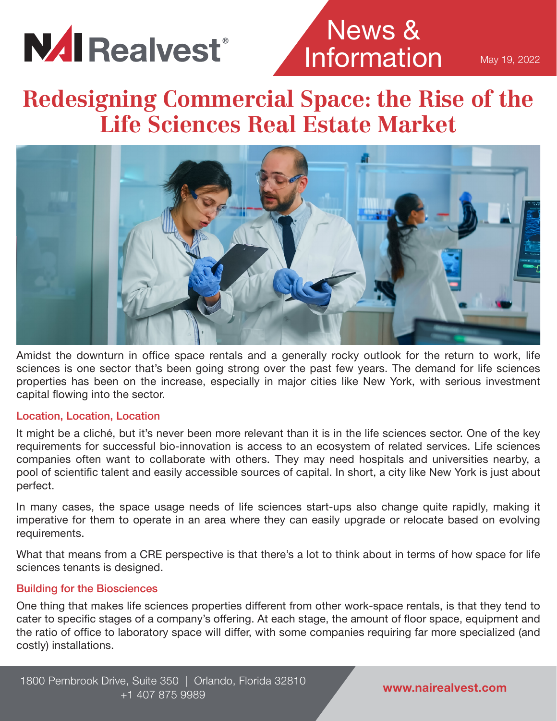

## News & **Information**

May 19, 2022

### **Redesigning Commercial Space: the Rise of the Life Sciences Real Estate Market**



Amidst the downturn in office space rentals and a generally rocky outlook for the return to work, life sciences is one sector that's been going strong over the past few years. The demand for life sciences properties has been on the increase, especially in major cities like New York, with serious investment capital flowing into the sector.

#### Location, Location, Location

It might be a cliché, but it's never been more relevant than it is in the life sciences sector. One of the key requirements for successful bio-innovation is access to an ecosystem of related services. Life sciences companies often want to collaborate with others. They may need hospitals and universities nearby, a pool of scientific talent and easily accessible sources of capital. In short, a city like New York is just about perfect.

In many cases, the space usage needs of life sciences start-ups also change quite rapidly, making it imperative for them to operate in an area where they can easily upgrade or relocate based on evolving requirements.

What that means from a CRE perspective is that there's a lot to think about in terms of how space for life sciences tenants is designed.

#### Building for the Biosciences

One thing that makes life sciences properties different from other work-space rentals, is that they tend to cater to specific stages of a company's offering. At each stage, the amount of floor space, equipment and the ratio of office to laboratory space will differ, with some companies requiring far more specialized (and costly) installations.